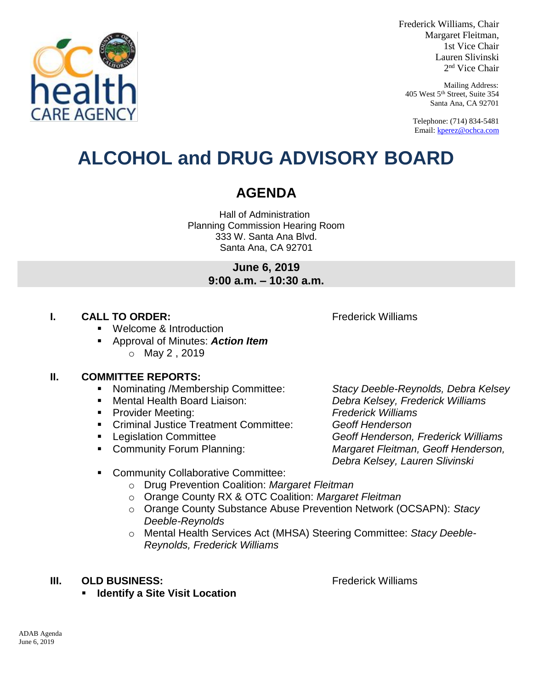

healt

Frederick Williams, Chair Margaret Fleitman, 1st Vice Chair Lauren Slivinski 2 nd Vice Chair

Mailing Address: 405 West 5th Street, Suite 354 Santa Ana, CA 92701

Telephone: (714) 834-5481 Email[: kperez@ochca.com](mailto:kperez@ochca.com)

## **ALCOHOL and DRUG ADVISORY BOARD**

### **AGENDA**

Hall of Administration Planning Commission Hearing Room 333 W. Santa Ana Blvd. Santa Ana, CA 92701

> **June 6, 2019 9:00 a.m. – 10:30 a.m.**

### **I. CALL TO ORDER:** Frederick Williams

Welcome & Introduction

 Approval of Minutes: *Action Item* o May 2 , 2019

### **II. COMMITTEE REPORTS:**

- Nominating /Membership Committee: *Stacy Deeble-Reynolds, Debra Kelsey*
- 
- Provider Meeting: *Frederick Williams*
- Criminal Justice Treatment Committee: *Geoff Henderson*
- 
- 

 Mental Health Board Liaison: *Debra Kelsey, Frederick Williams* Legislation Committee *Geoff Henderson, Frederick Williams*  Community Forum Planning: *Margaret Fleitman, Geoff Henderson, Debra Kelsey, Lauren Slivinski*

- **EXECOMMUNITY Collaborative Committee:** 
	- o Drug Prevention Coalition: *Margaret Fleitman*
	- o Orange County RX & OTC Coalition: *Margaret Fleitman*
	- o Orange County Substance Abuse Prevention Network (OCSAPN): *Stacy Deeble-Reynolds*
	- o Mental Health Services Act (MHSA) Steering Committee: *Stacy Deeble-Reynolds, Frederick Williams*

#### **III. OLD BUSINESS:** The Contract of the Contract of Trederick Williams

**Identify a Site Visit Location**